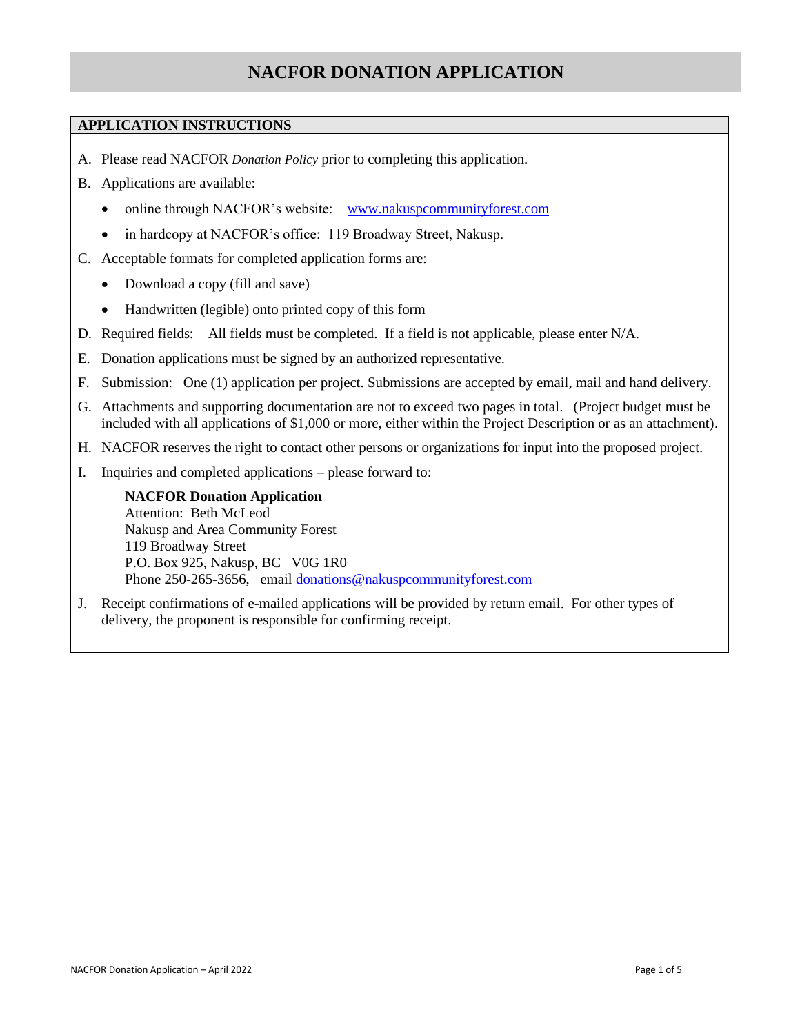# **NACFOR DONATION APPLICATION**

## **APPLICATION INSTRUCTIONS**

- A. Please read NACFOR *Donation Policy* prior to completing this application.
- B. Applications are available:
	- online through NACFOR's website: [www.nakuspcommunityforest.com](http://www.nakuspcommunityforest.com/)
	- in hardcopy at NACFOR's office: 119 Broadway Street, Nakusp.
- C. Acceptable formats for completed application forms are:
	- Download a copy (fill and save)
	- Handwritten (legible) onto printed copy of this form
- D. Required fields: All fields must be completed. If a field is not applicable, please enter N/A.
- E. Donation applications must be signed by an authorized representative.
- F. Submission: One (1) application per project. Submissions are accepted by email, mail and hand delivery.
- G. Attachments and supporting documentation are not to exceed two pages in total. (Project budget must be included with all applications of \$1,000 or more, either within the Project Description or as an attachment).
- H. NACFOR reserves the right to contact other persons or organizations for input into the proposed project.
- I. Inquiries and completed applications please forward to:

**NACFOR Donation Application** Attention: Beth McLeod Nakusp and Area Community Forest 119 Broadway Street P.O. Box 925, Nakusp, BC V0G 1R0 Phone 250-265-3656, email [donations@nakuspcommunityforest.com](mailto:donations@nakuspcommunityforest.com)

J. Receipt confirmations of e-mailed applications will be provided by return email. For other types of delivery, the proponent is responsible for confirming receipt.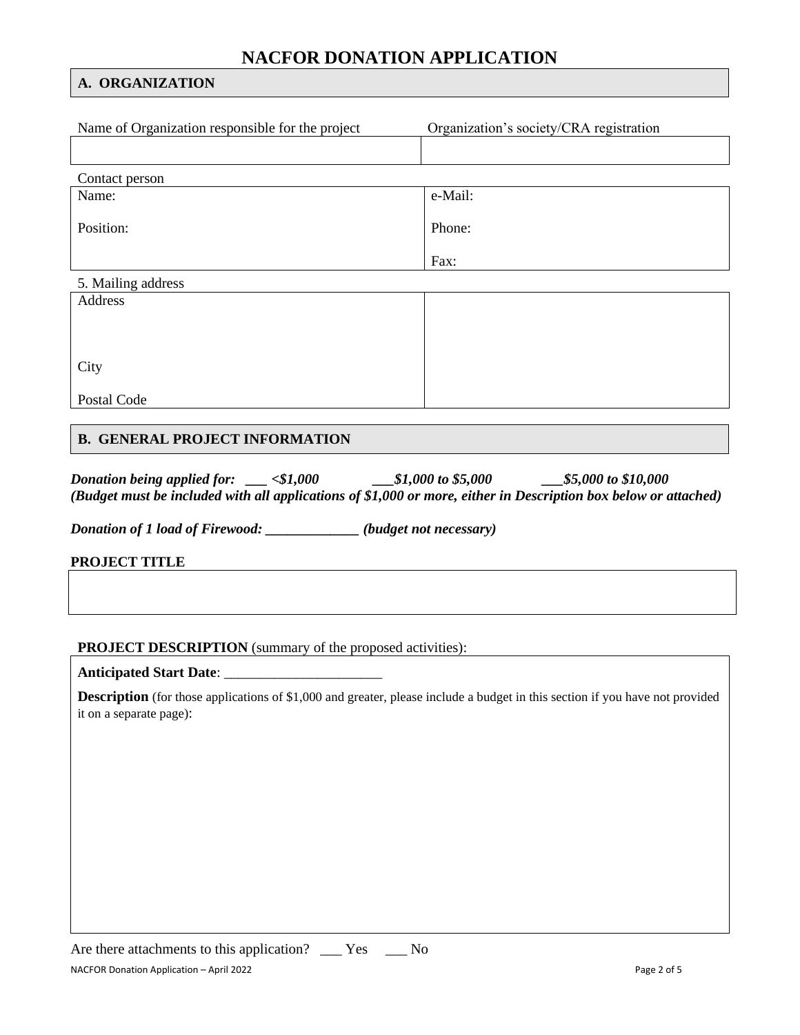# **NACFOR DONATION APPLICATION**

### **A. ORGANIZATION**

| Name of Organization responsible for the project | Organization's society/CRA registration |
|--------------------------------------------------|-----------------------------------------|
|                                                  |                                         |
| Contact person                                   |                                         |
| Name:                                            | e-Mail:                                 |
|                                                  |                                         |
| Position:                                        | Phone:                                  |
|                                                  |                                         |
|                                                  | Fax:                                    |
| 5. Mailing address                               |                                         |
| Address                                          |                                         |
|                                                  |                                         |
|                                                  |                                         |
| City                                             |                                         |
|                                                  |                                         |
| Postal Code                                      |                                         |
|                                                  |                                         |

## **B. GENERAL PROJECT INFORMATION**

| Donation being applied for: | - <\$1,000 | ____\$1,000 to \$5,000 | $\frac{\$5,000}{\$10,000}$                                                                                      |
|-----------------------------|------------|------------------------|-----------------------------------------------------------------------------------------------------------------|
|                             |            |                        | (Budget must be included with all applications of \$1,000 or more, either in Description box below or attached) |

*Donation of 1 load of Firewood: \_\_\_\_\_\_\_\_\_\_\_\_\_ (budget not necessary)*

**PROJECT TITLE**

# **PROJECT DESCRIPTION** (summary of the proposed activities):

**Anticipated Start Date**: \_\_\_\_\_\_\_\_\_\_\_\_\_\_\_\_\_\_\_\_\_\_

**Description** (for those applications of \$1,000 and greater, please include a budget in this section if you have not provided it on a separate page):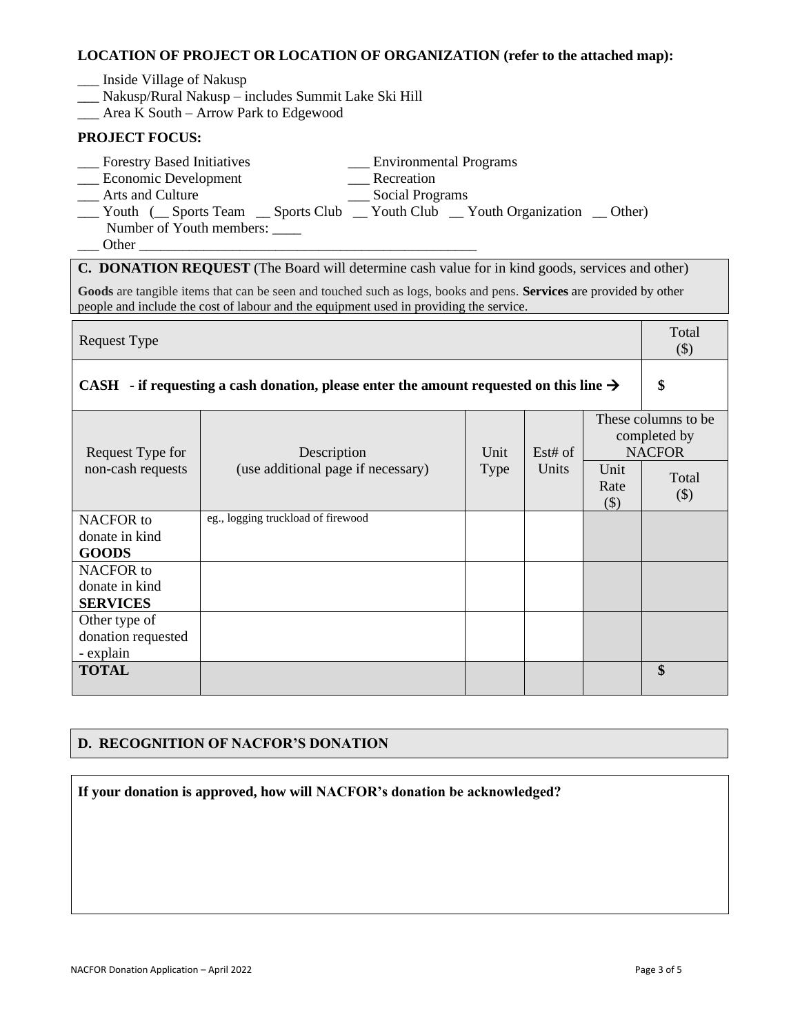#### **LOCATION OF PROJECT OR LOCATION OF ORGANIZATION (refer to the attached map):**

- \_\_\_ Inside Village of Nakusp
- \_\_\_ Nakusp/Rural Nakusp includes Summit Lake Ski Hill
- \_\_\_ Area K South Arrow Park to Edgewood

### **PROJECT FOCUS:**

- \_\_\_ Forestry Based Initiatives \_\_\_ Environmental Programs
- \_\_\_ Economic Development \_\_\_ Recreation
- 
- \_\_\_ Arts and Culture \_\_\_ Social Programs
- 

- 
- \_\_\_ Youth (\_\_ Sports Team \_\_ Sports Club \_\_ Youth Club \_\_ Youth Organization \_\_ Other) Number of Youth members:
- Other

**C. DONATION REQUEST** (The Board will determine cash value for in kind goods, services and other)

**Goods** are tangible items that can be seen and touched such as logs, books and pens. **Services** are provided by other people and include the cost of labour and the equipment used in providing the service.

| <b>Request Type</b>                                                                                |                                    |             |         |                        |                                                       |
|----------------------------------------------------------------------------------------------------|------------------------------------|-------------|---------|------------------------|-------------------------------------------------------|
| CASH - if requesting a cash donation, please enter the amount requested on this line $\rightarrow$ |                                    |             |         |                        |                                                       |
| Request Type for                                                                                   | Description                        | Unit        | Est# of |                        | These columns to be.<br>completed by<br><b>NACFOR</b> |
| non-cash requests                                                                                  | (use additional page if necessary) | <b>Type</b> | Units   | Unit<br>Rate<br>$(\$)$ | Total<br>$(\$)$                                       |
| NACFOR to                                                                                          | eg., logging truckload of firewood |             |         |                        |                                                       |
| donate in kind                                                                                     |                                    |             |         |                        |                                                       |
| <b>GOODS</b>                                                                                       |                                    |             |         |                        |                                                       |
| NACFOR to                                                                                          |                                    |             |         |                        |                                                       |
| donate in kind                                                                                     |                                    |             |         |                        |                                                       |
| <b>SERVICES</b>                                                                                    |                                    |             |         |                        |                                                       |
| Other type of                                                                                      |                                    |             |         |                        |                                                       |
| donation requested                                                                                 |                                    |             |         |                        |                                                       |
| - explain                                                                                          |                                    |             |         |                        |                                                       |
| <b>TOTAL</b>                                                                                       |                                    |             |         |                        | \$                                                    |

### **D. RECOGNITION OF NACFOR'S DONATION**

**If your donation is approved, how will NACFOR's donation be acknowledged?**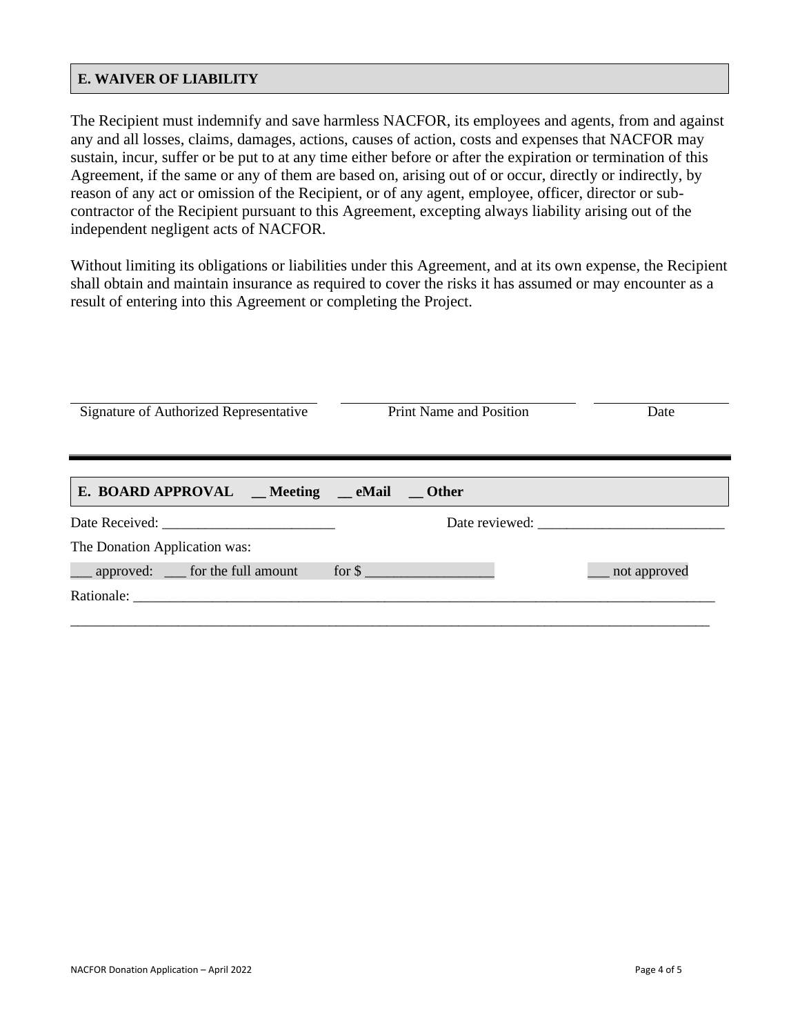### **E. WAIVER OF LIABILITY**

The Recipient must indemnify and save harmless NACFOR, its employees and agents, from and against any and all losses, claims, damages, actions, causes of action, costs and expenses that NACFOR may sustain, incur, suffer or be put to at any time either before or after the expiration or termination of this Agreement, if the same or any of them are based on, arising out of or occur, directly or indirectly, by reason of any act or omission of the Recipient, or of any agent, employee, officer, director or subcontractor of the Recipient pursuant to this Agreement, excepting always liability arising out of the independent negligent acts of NACFOR.

Without limiting its obligations or liabilities under this Agreement, and at its own expense, the Recipient shall obtain and maintain insurance as required to cover the risks it has assumed or may encounter as a result of entering into this Agreement or completing the Project.

| Signature of Authorized Representative |                                          | <b>Print Name and Position</b> | Date            |  |
|----------------------------------------|------------------------------------------|--------------------------------|-----------------|--|
|                                        | E. BOARD APPROVAL _Meeting _eMail _Other |                                |                 |  |
|                                        |                                          |                                | Date reviewed:  |  |
| The Donation Application was:          |                                          |                                |                 |  |
|                                        | __ approved: __ for the full amount      | for \$                         | __ not approved |  |
|                                        |                                          |                                |                 |  |